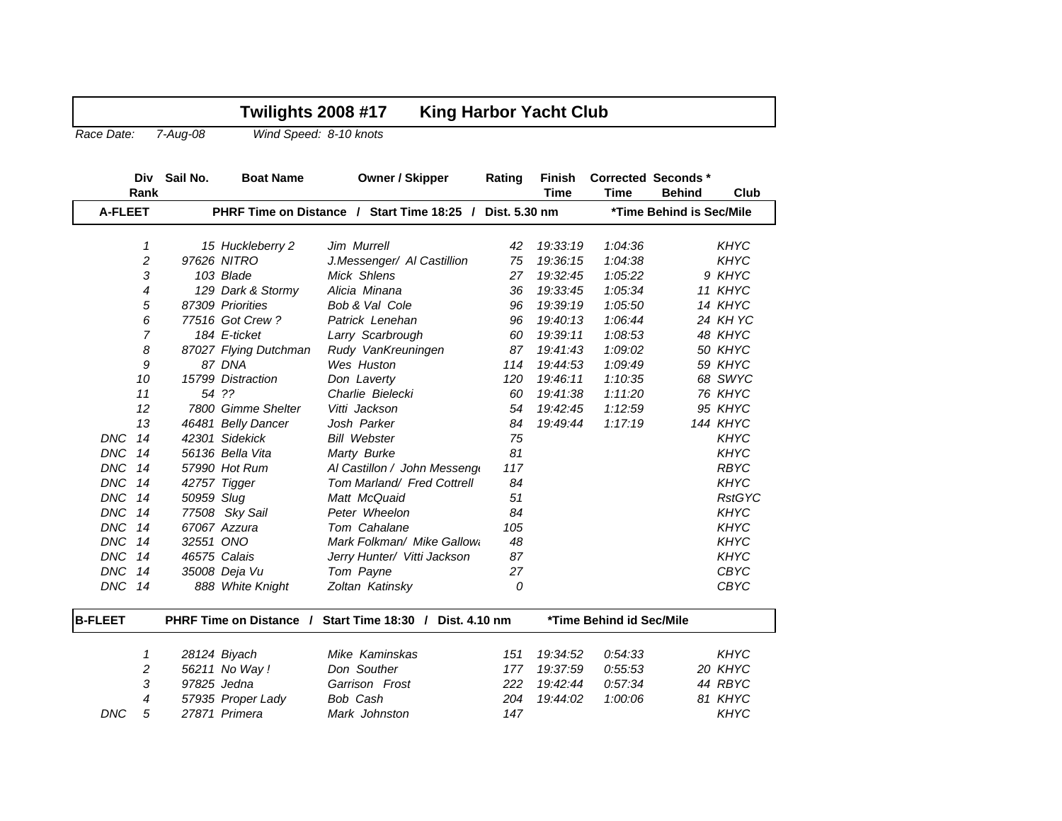| Race Date:     |                  | 7-Aug-08                | Wind Speed: 8-10 knots |                                                          |        |                          |             |                                            |               |
|----------------|------------------|-------------------------|------------------------|----------------------------------------------------------|--------|--------------------------|-------------|--------------------------------------------|---------------|
|                | Div<br>Rank      | Sail No.                | <b>Boat Name</b>       | <b>Owner / Skipper</b>                                   | Rating | Finish<br><b>Time</b>    | <b>Time</b> | <b>Corrected Seconds*</b><br><b>Behind</b> | Club          |
| <b>A-FLEET</b> |                  |                         |                        | PHRF Time on Distance / Start Time 18:25 / Dist. 5.30 nm |        |                          |             | *Time Behind is Sec/Mile                   |               |
|                | 1                |                         | 15 Huckleberry 2       | Jim Murrell                                              | 42     | 19:33:19                 | 1:04:36     |                                            | <b>KHYC</b>   |
|                | $\overline{c}$   |                         | 97626 NITRO            | J.Messenger/ Al Castillion                               | 75     | 19:36:15                 | 1:04:38     |                                            | <b>KHYC</b>   |
|                | 3                |                         | 103 Blade              | Mick Shlens                                              | 27     | 19:32:45                 | 1:05:22     |                                            | 9 KHYC        |
|                | $\overline{4}$   |                         | 129 Dark & Stormy      | Alicia Minana                                            | 36     | 19:33:45                 | 1:05:34     |                                            | 11 KHYC       |
|                | 5                |                         | 87309 Priorities       | Bob & Val Cole                                           | 96     | 19:39:19                 | 1:05:50     |                                            | 14 KHYC       |
|                | 6                |                         | 77516 Got Crew?        | Patrick Lenehan                                          | 96     | 19:40:13                 | 1:06:44     |                                            | 24 KH YC      |
|                | $\overline{7}$   |                         | 184 E-ticket           | Larry Scarbrough                                         | 60     | 19:39:11                 | 1:08:53     |                                            | 48 KHYC       |
|                | 8                |                         | 87027 Flying Dutchman  | Rudy VanKreuningen                                       | 87     | 19:41:43                 | 1:09:02     |                                            | 50 KHYC       |
|                | 9                |                         | 87 DNA                 | Wes Huston                                               | 114    | 19:44:53                 | 1:09:49     |                                            | 59 KHYC       |
|                | 10               |                         | 15799 Distraction      | Don Laverty                                              | 120    | 19:46:11                 | 1:10:35     |                                            | 68 SWYC       |
|                | 11               |                         | 54 ??                  | Charlie Bielecki                                         | 60     | 19:41:38                 | 1:11:20     |                                            | 76 KHYC       |
|                | 12               |                         | 7800 Gimme Shelter     | Vitti Jackson                                            | 54     | 19:42:45                 | 1:12:59     |                                            | 95 KHYC       |
|                | 13               |                         | 46481 Belly Dancer     | Josh Parker                                              | 84     | 19:49:44                 | 1:17:19     |                                            | 144 KHYC      |
| <b>DNC</b>     | 14               |                         | 42301 Sidekick         | <b>Bill Webster</b>                                      | 75     |                          |             |                                            | <b>KHYC</b>   |
| <b>DNC</b>     | 14               |                         | 56136 Bella Vita       | Marty Burke                                              | 81     |                          |             |                                            | <b>KHYC</b>   |
| <b>DNC</b>     | 14               |                         | 57990 Hot Rum          | Al Castillon / John Messeng                              | 117    |                          |             |                                            | <b>RBYC</b>   |
| <b>DNC</b>     | 14               |                         | 42757 Tigger           | Tom Marland/ Fred Cottrell                               | 84     |                          |             |                                            | <b>KHYC</b>   |
| <b>DNC</b>     | 14               | 50959 Slug              |                        | Matt McQuaid                                             | 51     |                          |             |                                            | <b>RstGYC</b> |
| <b>DNC</b>     | 14               |                         | 77508 Sky Sail         | Peter Wheelon                                            | 84     |                          |             |                                            | <b>KHYC</b>   |
| <b>DNC</b>     | 14               |                         | 67067 Azzura           | Tom Cahalane                                             | 105    |                          |             |                                            | KHYC          |
| <b>DNC</b>     | 14               | 32551 ONO               |                        | Mark Folkman/ Mike Gallow                                | 48     |                          |             |                                            | <b>KHYC</b>   |
| <b>DNC</b>     | 14               | 46575 Calais            |                        | Jerry Hunter/ Vitti Jackson                              | 87     |                          |             |                                            | <b>KHYC</b>   |
| <b>DNC</b>     | 14               |                         | 35008 Deja Vu          | Tom Payne                                                | 27     |                          |             |                                            | <b>CBYC</b>   |
| <b>DNC</b>     | 14               |                         | 888 White Knight       | Zoltan Katinsky                                          | 0      |                          |             |                                            | <b>CBYC</b>   |
| <b>B-FLEET</b> |                  | PHRF Time on Distance / |                        | Start Time 18:30 / Dist. 4.10 nm                         |        | *Time Behind id Sec/Mile |             |                                            |               |
|                | 1                |                         | 28124 Biyach           | Mike Kaminskas                                           | 151    | 19:34:52                 | 0.54.33     |                                            | <b>KHYC</b>   |
|                | $\boldsymbol{2}$ |                         | 56211 No Way !         | Don Souther                                              | 177    | 19:37:59                 | 0.55.53     |                                            | 20 KHYC       |
|                | 3                | 97825 Jedna             |                        | Garrison Frost                                           | 222    | 19:42:44                 | 0.57.34     |                                            | 44 RBYC       |
|                | 4                |                         | 57935 Proper Lady      | Bob Cash                                                 | 204    | 19:44:02                 | 1:00:06     |                                            | 81 KHYC       |
| <b>DNC</b>     | 5                |                         | 27871 Primera          | Mark Johnston                                            | 147    |                          |             |                                            | <b>KHYC</b>   |

**Twilights 2008 #17 King Harbor Yacht Club**